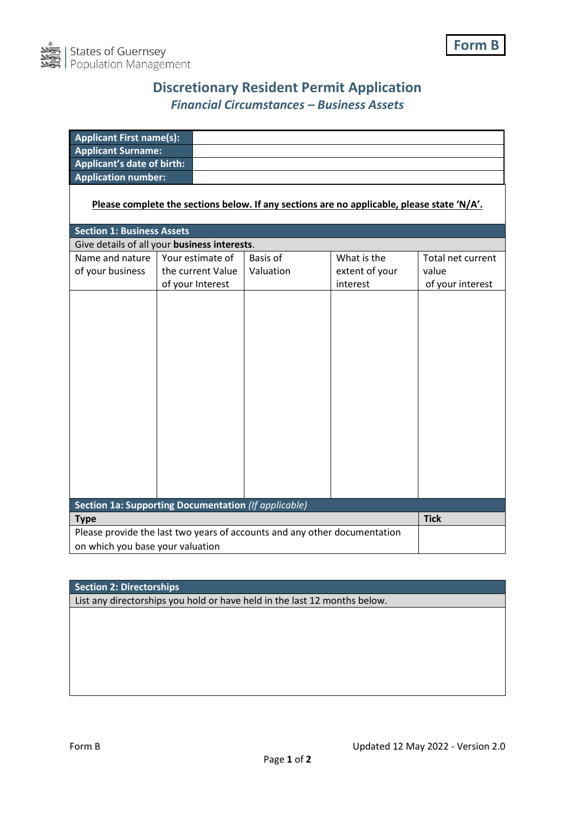

## **Discretionary Resident Permit Application** *Financial Circumstances – Business Assets*

| <b>Applicant First name(s):</b>                                           |                   |  |                 |                                                                                            |                   |  |
|---------------------------------------------------------------------------|-------------------|--|-----------------|--------------------------------------------------------------------------------------------|-------------------|--|
| <b>Applicant Surname:</b>                                                 |                   |  |                 |                                                                                            |                   |  |
| <b>Applicant's date of birth:</b>                                         |                   |  |                 |                                                                                            |                   |  |
| <b>Application number:</b>                                                |                   |  |                 |                                                                                            |                   |  |
|                                                                           |                   |  |                 | Please complete the sections below. If any sections are no applicable, please state 'N/A'. |                   |  |
| <b>Section 1: Business Assets</b>                                         |                   |  |                 |                                                                                            |                   |  |
| Give details of all your business interests.                              |                   |  |                 |                                                                                            |                   |  |
| Name and nature                                                           | Your estimate of  |  | <b>Basis of</b> | What is the                                                                                | Total net current |  |
| of your business                                                          | the current Value |  | Valuation       | extent of your                                                                             | value             |  |
|                                                                           | of your Interest  |  |                 | interest                                                                                   | of your interest  |  |
|                                                                           |                   |  |                 |                                                                                            |                   |  |
| Section 1a: Supporting Documentation (If applicable)                      |                   |  |                 |                                                                                            |                   |  |
| <b>Type</b>                                                               | <b>Tick</b>       |  |                 |                                                                                            |                   |  |
| Please provide the last two years of accounts and any other documentation |                   |  |                 |                                                                                            |                   |  |
| on which you base your valuation                                          |                   |  |                 |                                                                                            |                   |  |

## **Section 2: Directorships**

List any directorships you hold or have held in the last 12 months below.